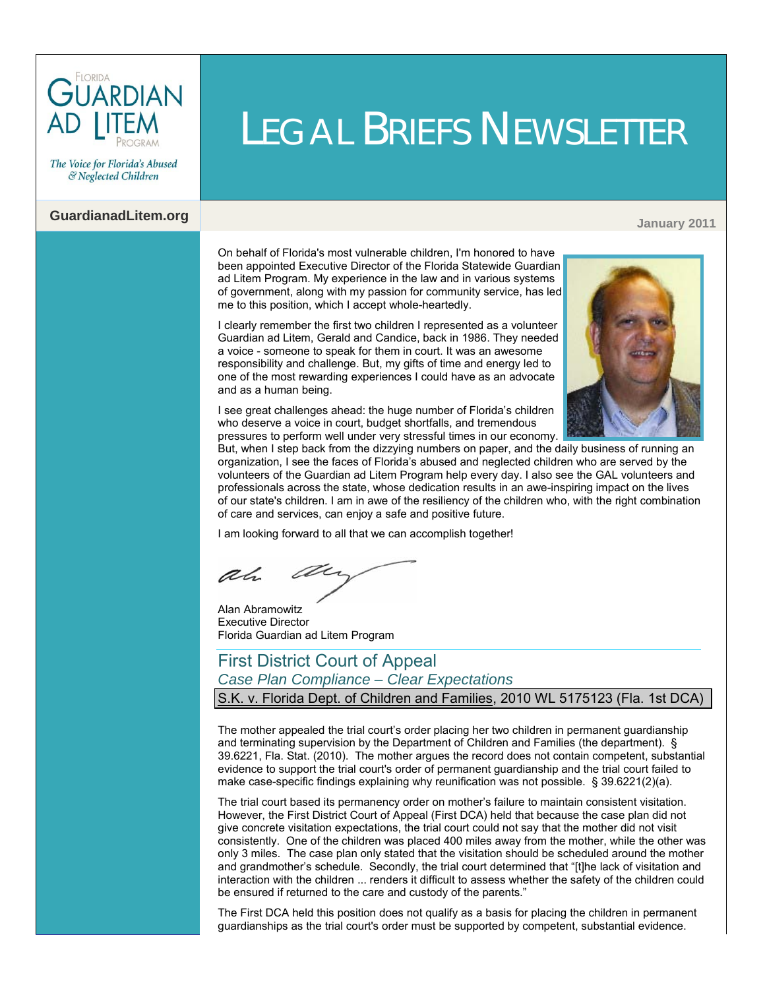

The Voice for Florida's Abused & Neglected Children

# **GuardianadLitem.org January 2011**

On behalf of Florida's most vulnerable children, I'm honored to have been appointed Executive Director of the Florida Statewide Guardian ad Litem Program. My experience in the law and in various systems of government, along with my passion for community service, has led me to this position, which I accept whole-heartedly.

I clearly remember the first two children I represented as a volunteer Guardian ad Litem, Gerald and Candice, back in 1986. They needed a voice - someone to speak for them in court. It was an awesome responsibility and challenge. But, my gifts of time and energy led to one of the most rewarding experiences I could have as an advocate and as a human being.



I see great challenges ahead: the huge number of Florida's children who deserve a voice in court, budget shortfalls, and tremendous pressures to perform well under very stressful times in our economy.

But, when I step back from the dizzying numbers on paper, and the daily business of running an organization, I see the faces of Florida's abused and neglected children who are served by the volunteers of the Guardian ad Litem Program help every day. I also see the GAL volunteers and professionals across the state, whose dedication results in an awe-inspiring impact on the lives of our state's children. I am in awe of the resiliency of the children who, with the right combination of care and services, can enjoy a safe and positive future.

LEGAL BRIEFS NEWSLETTER

I am looking forward to all that we can accomplish together!

ar ah

Alan Abramowitz Executive Director Florida Guardian ad Litem Program

### First District Court of Appeal *Case Plan Compliance – Clear Expectations* S.K. v. Florida Dept. of Children and Families, 2010 WL 5175123 (Fla. 1st DCA)

The mother appealed the trial court's order placing her two children in permanent guardianship and terminating supervision by the Department of Children and Families (the department). [§](http://www.leg.state.fl.us/Statutes/index.cfm?App_mode=Display_Statute&Search_String=&URL=0000-0099/0039/Sections/0039.6221.html) [39.6221, Fla. Stat. \(2010\).](http://www.leg.state.fl.us/Statutes/index.cfm?App_mode=Display_Statute&Search_String=&URL=0000-0099/0039/Sections/0039.6221.html) The mother argues the record does not contain competent, substantial evidence to support the trial court's order of permanent guardianship and the trial court failed to make case-specific findings explaining why reunification was not possible. [§ 39.6221\(2\)\(a\).](http://www.leg.state.fl.us/Statutes/index.cfm?App_mode=Display_Statute&Search_String=&URL=0000-0099/0039/Sections/0039.6221.html) 

The trial court based its permanency order on mother's failure to maintain consistent visitation. However, the First District Court of Appeal (First DCA) held that because the case plan did not give concrete visitation expectations, the trial court could not say that the mother did not visit consistently. One of the children was placed 400 miles away from the mother, while the other was only 3 miles. The case plan only stated that the visitation should be scheduled around the mother and grandmother's schedule. Secondly, the trial court determined that "[t]he lack of visitation and interaction with the children ... renders it difficult to assess whether the safety of the children could be ensured if returned to the care and custody of the parents."

The First DCA held this position does not qualify as a basis for placing the children in permanent guardianships as the trial court's order must be supported by competent, substantial evidence.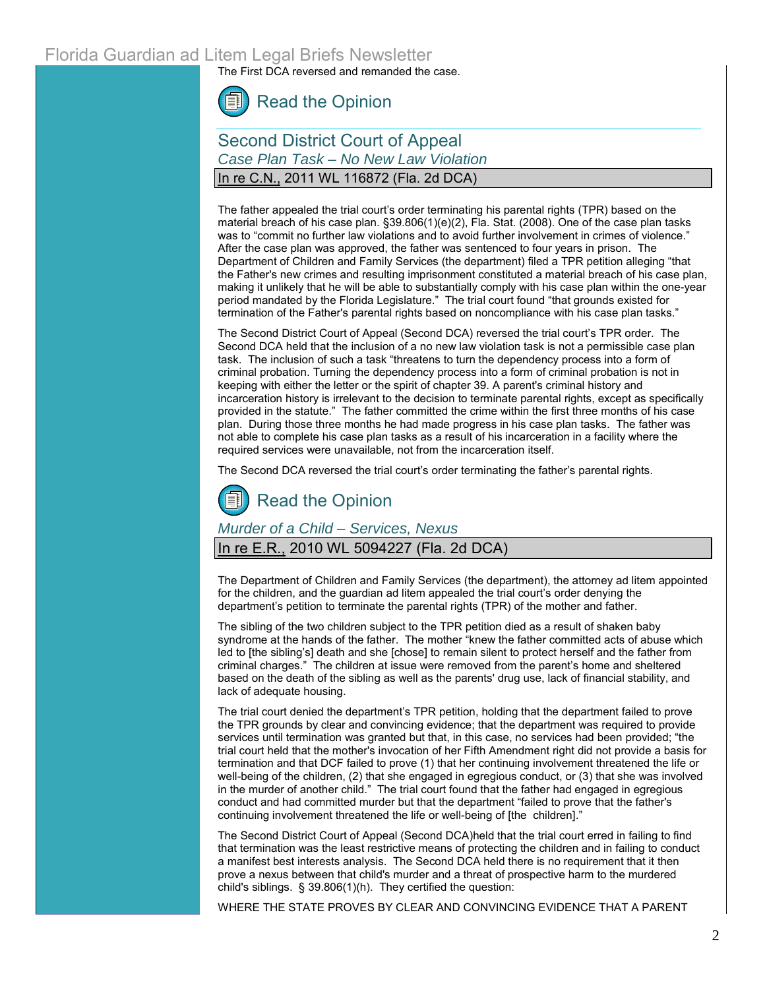The First DCA reversed and remanded the case.



### Second District Court of Appeal *Case Plan Task – No New Law Violation* In re C.N., 2011 WL 116872 (Fla. 2d DCA)

The father appealed the trial court's order terminating his parental rights (TPR) based on the material breach of his case plan. [§39.806\(1\)\(e\)\(2\), Fla.](http://www.leg.state.fl.us/Statutes/index.cfm?App_mode=Display_Statute&Search_String=&URL=0000-0099/0039/Sections/0039.806.html) Stat. (2008). One of the case plan tasks was to "commit no further law violations and to avoid further involvement in crimes of violence." After the case plan was approved, the father was sentenced to four years in prison. The Department of Children and Family Services (the department) filed a TPR petition alleging "that the Father's new crimes and resulting imprisonment constituted a material breach of his case plan, making it unlikely that he will be able to substantially comply with his case plan within the one-year period mandated by the Florida Legislature." The trial court found "that grounds existed for termination of the Father's parental rights based on noncompliance with his case plan tasks."

The Second District Court of Appeal (Second DCA) reversed the trial court's TPR order. The Second DCA held that the inclusion of a no new law violation task is not a permissible case plan task. The inclusion of such a task "threatens to turn the dependency process into a form of criminal probation. Turning the dependency process into a form of criminal probation is not in keeping with either the letter or the spirit of chapter 39. A parent's criminal history and incarceration history is irrelevant to the decision to terminate parental rights, except as specifically provided in the statute." The father committed the crime within the first three months of his case plan. During those three months he had made progress in his case plan tasks. The father was not able to complete his case plan tasks as a result of his incarceration in a facility where the required services were unavailable, not from the incarceration itself.

The Second DCA reversed the trial court's order terminating the father's parental rights.

# [Read the Opinion](http://www.2dca.org/opinions/Opinion_Pages/Opinion_Page_2011/January/January%2014,%202011/2D10-2086.pdf)

*Murder of a Child – Services, Nexus*

#### In re E.R., 2010 WL 5094227 (Fla. 2d DCA)

The Department of Children and Family Services (the department), the attorney ad litem appointed for the children, and the guardian ad litem appealed the trial court's order denying the department's petition to terminate the parental rights (TPR) of the mother and father.

The sibling of the two children subject to the TPR petition died as a result of shaken baby syndrome at the hands of the father. The mother "knew the father committed acts of abuse which led to [the sibling's] death and she [chose] to remain silent to protect herself and the father from criminal charges." The children at issue were removed from the parent's home and sheltered based on the death of the sibling as well as the parents' drug use, lack of financial stability, and lack of adequate housing.

The trial court denied the department's TPR petition, holding that the department failed to prove the TPR grounds by clear and convincing evidence; that the department was required to provide services until termination was granted but that, in this case, no services had been provided; "the trial court held that the mother's invocation of her Fifth Amendment right did not provide a basis for termination and that DCF failed to prove (1) that her continuing involvement threatened the life or well-being of the children, (2) that she engaged in egregious conduct, or (3) that she was involved in the murder of another child." The trial court found that the father had engaged in egregious conduct and had committed murder but that the department "failed to prove that the father's continuing involvement threatened the life or well-being of [the children]."

The Second District Court of Appeal (Second DCA)held that the trial court erred in failing to find that termination was the least restrictive means of protecting the children and in failing to conduct a manifest best interests analysis. The Second DCA held there is no requirement that it then prove a nexus between that child's murder and a threat of prospective harm to the murdered child's siblings. [§ 39.806\(1\)\(h\).](http://www.leg.state.fl.us/Statutes/index.cfm?App_mode=Display_Statute&Search_String=&URL=0000-0099/0039/Sections/0039.806.html) They certified the question:

WHERE THE STATE PROVES BY CLEAR AND CONVINCING EVIDENCE THAT A PARENT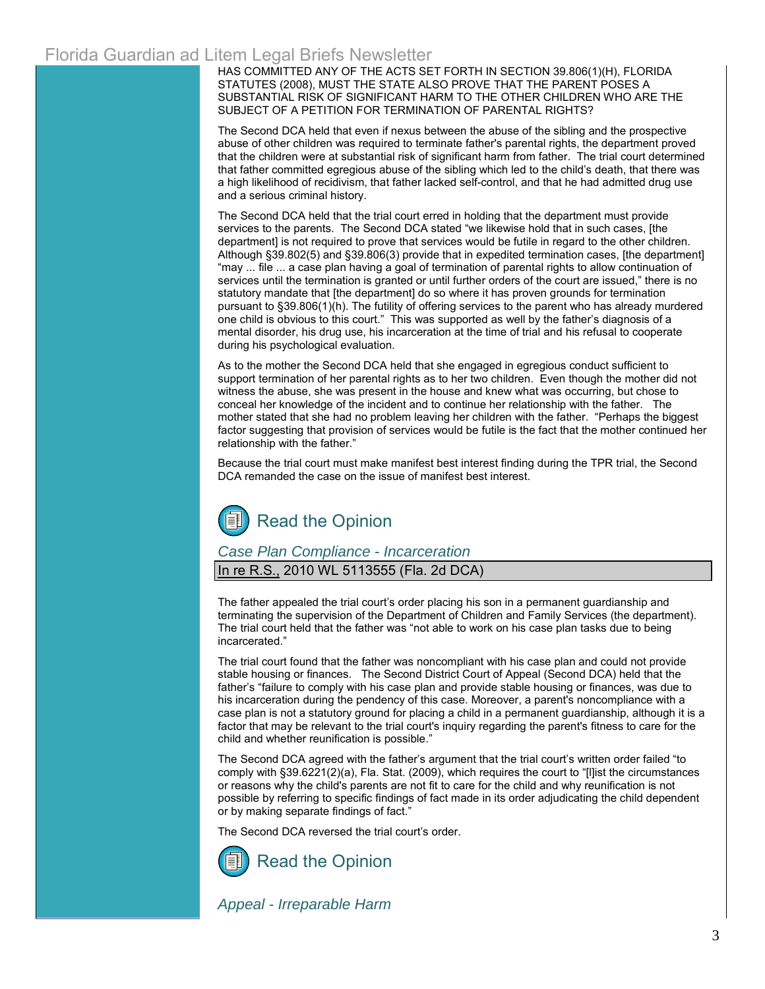HAS COMMITTED ANY OF THE ACTS SET FORTH IN [SECTION 39.806\(1\)\(H\), FLORIDA](http://www.leg.state.fl.us/Statutes/index.cfm?App_mode=Display_Statute&Search_String=&URL=0000-0099/0039/Sections/0039.806.html)  [STATUTES \(2008\),](http://web2.westlaw.com/find/default.wl?tc=-1&docname=FLSTS39.806&rp=%2ffind%2fdefault.wl&sv=Split&rs=WLW11.01&db=1000006&tf=-1&findtype=L&fn=_top&mt=Westlaw&vr=2.0&pbc=E086A7ED&ordoc=2024085514) MUST THE STATE ALSO PROVE THAT THE PARENT POSES A SUBSTANTIAL RISK OF SIGNIFICANT HARM TO THE OTHER CHILDREN WHO ARE THE SUBJECT OF A PETITION FOR TERMINATION OF PARENTAL RIGHTS?

The Second DCA held that even if nexus between the abuse of the sibling and the prospective abuse of other children was required to terminate father's parental rights, the department proved that the children were at substantial risk of significant harm from father. The trial court determined that father committed egregious abuse of the sibling which led to the child's death, that there was a high likelihood of recidivism, that father lacked self-control, and that he had admitted drug use and a serious criminal history.

The Second DCA held that the trial court erred in holding that the department must provide services to the parents. The Second DCA stated "we likewise hold that in such cases, [the department] is not required to prove that services would be futile in regard to the other children. Althoug[h §39.802\(5\)](http://www.leg.state.fl.us/Statutes/index.cfm?App_mode=Display_Statute&Search_String=&URL=0000-0099/0039/Sections/0039.802.html) and [§39.806\(3\)](http://www.leg.state.fl.us/Statutes/index.cfm?App_mode=Display_Statute&Search_String=&URL=0000-0099/0039/Sections/0039.806.html) provide that in expedited termination cases, [the department] "may ... file ... a case plan having a goal of termination of parental rights to allow continuation of services until the termination is granted or until further orders of the court are issued," there is no statutory mandate that [the department] do so where it has proven grounds for termination pursuant to [§39.806\(1\)\(h\).](http://www.leg.state.fl.us/Statutes/index.cfm?App_mode=Display_Statute&Search_String=&URL=0000-0099/0039/Sections/0039.806.html) The futility of offering services to the parent who has already murdered one child is obvious to this court." This was supported as well by the father's diagnosis of a mental disorder, his drug use, his incarceration at the time of trial and his refusal to cooperate during his psychological evaluation.

As to the mother the Second DCA held that she engaged in egregious conduct sufficient to support termination of her parental rights as to her two children. Even though the mother did not witness the abuse, she was present in the house and knew what was occurring, but chose to conceal her knowledge of the incident and to continue her relationship with the father. The mother stated that she had no problem leaving her children with the father. "Perhaps the biggest factor suggesting that provision of services would be futile is the fact that the mother continued her relationship with the father."

Because the trial court must make manifest best interest finding during the TPR trial, the Second DCA remanded the case on the issue of manifest best interest.

# [Read the Opinion](http://www.2dca.org/opinions/Opinion_Pages/Opinion_Page_2010/December/December%2015,%202010/2D09-3785.pdf)

#### *Case Plan Compliance - Incarceration*

In re R.S., 2010 WL 5113555 (Fla. 2d DCA)

The father appealed the trial court's order placing his son in a permanent guardianship and terminating the supervision of the Department of Children and Family Services (the department). The trial court held that the father was "not able to work on his case plan tasks due to being incarcerated."

The trial court found that the father was noncompliant with his case plan and could not provide stable housing or finances. The Second District Court of Appeal (Second DCA) held that the father's "failure to comply with his case plan and provide stable housing or finances, was due to his incarceration during the pendency of this case. Moreover, a parent's noncompliance with a case plan is not a statutory ground for placing a child in a permanent guardianship, although it is a factor that may be relevant to the trial court's inquiry regarding the parent's fitness to care for the child and whether reunification is possible."

The Second DCA agreed with the father's argument that the trial court's written order failed "to comply with [§39.6221\(2\)\(a\), Fla. Stat. \(2009\),](http://www.leg.state.fl.us/Statutes/index.cfm?App_mode=Display_Statute&Search_String=&URL=0000-0099/0039/Sections/0039.6221.html) which requires the court to "[l]ist the circumstances or reasons why the child's parents are not fit to care for the child and why reunification is not possible by referring to specific findings of fact made in its order adjudicating the child dependent or by making separate findings of fact."

The Second DCA reversed the trial court's order.



*Appeal - Irreparable Harm*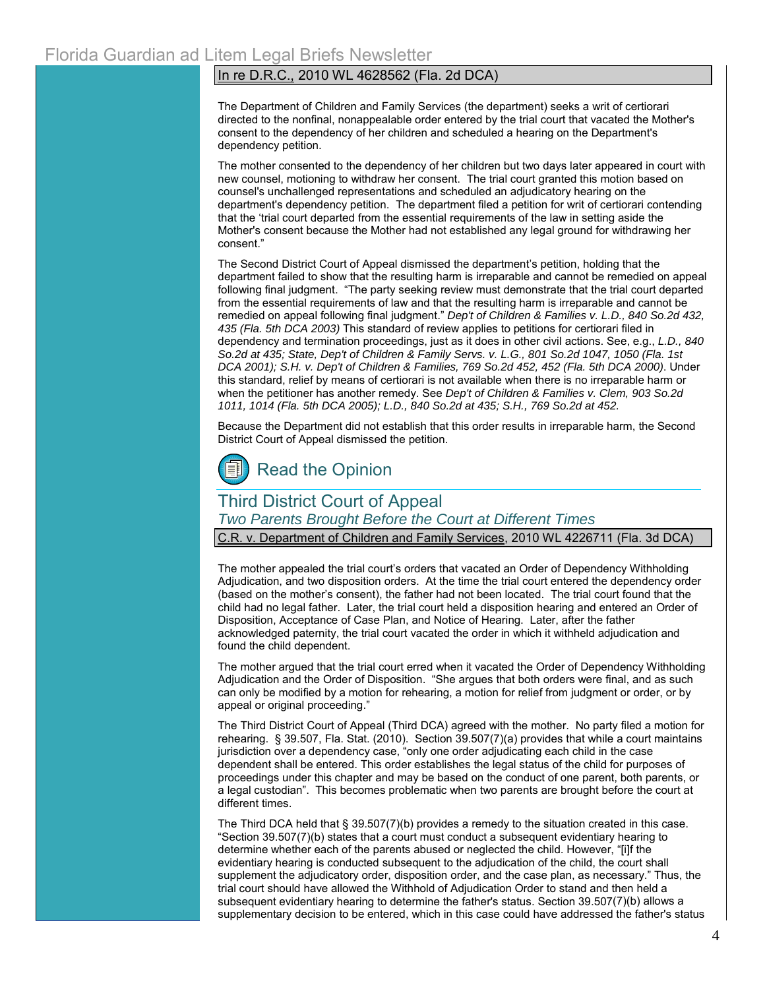#### In re D.R.C., 2010 WL 4628562 (Fla. 2d DCA)

The Department of Children and Family Services (the department) seeks a writ of certiorari directed to the nonfinal, nonappealable order entered by the trial court that vacated the Mother's consent to the dependency of her children and scheduled a hearing on the Department's dependency petition.

The mother consented to the dependency of her children but two days later appeared in court with new counsel, motioning to withdraw her consent. The trial court granted this motion based on counsel's unchallenged representations and scheduled an adjudicatory hearing on the department's dependency petition. The department filed a petition for writ of certiorari contending that the 'trial court departed from the essential requirements of the law in setting aside the Mother's consent because the Mother had not established any legal ground for withdrawing her consent."

The Second District Court of Appeal dismissed the department's petition, holding that the department failed to show that the resulting harm is irreparable and cannot be remedied on appeal following final judgment. "The party seeking review must demonstrate that the trial court departed from the essential requirements of law and that the resulting harm is irreparable and cannot be remedied on appeal following final judgment." *Dep't of Children & Families v. L.D., 840 So.2d 432, 435 (Fla. 5th DCA 2003)* This standard of review applies to petitions for certiorari filed in dependency and termination proceedings, just as it does in other civil actions. See, e.g., *[L.D., 840](http://web2.westlaw.com/find/default.wl?tf=-1&rs=WLW11.01&referencepositiontype=S&serialnum=2003233592&fn=_top&sv=Split&referenceposition=435&pbc=CAC3D4F8&tc=-1&ordoc=2023774870&findtype=Y&db=735&vr=2.0&rp=%2ffind%2fdefault.wl&mt=Westlaw)  [So.2d at 435;](http://web2.westlaw.com/find/default.wl?tf=-1&rs=WLW11.01&referencepositiontype=S&serialnum=2003233592&fn=_top&sv=Split&referenceposition=435&pbc=CAC3D4F8&tc=-1&ordoc=2023774870&findtype=Y&db=735&vr=2.0&rp=%2ffind%2fdefault.wl&mt=Westlaw) State, Dep't of Children & Family Servs. v. L.G., 801 So.2d 1047, 1050 (Fla. 1st DCA 2001); S.H. v. Dep't of Children & Families, 769 So.2d 452, 452 (Fla. 5th DCA 2000)*. Under this standard, relief by means of certiorari is not available when there is no irreparable harm or when the petitioner has another remedy. See *Dep't of Children & Families v. Clem, 903 So.2d 1011, 1014 (Fla. 5th DCA 2005); [L.D., 840 So.2d at 435;](http://web2.westlaw.com/find/default.wl?tf=-1&rs=WLW11.01&referencepositiontype=S&serialnum=2003233592&fn=_top&sv=Split&referenceposition=435&pbc=CAC3D4F8&tc=-1&ordoc=2023774870&findtype=Y&db=735&vr=2.0&rp=%2ffind%2fdefault.wl&mt=Westlaw) S.H., 769 So.2d at 452.*

Because the Department did not establish that this order results in irreparable harm, the Second District Court of Appeal dismissed the petition.



### Third District Court of Appeal

*Two Parents Brought Before the Court at Different Times*

C.R. v. Department of Children and Family Services, 2010 WL 4226711 (Fla. 3d DCA)

The mother appealed the trial court's orders that vacated an Order of Dependency Withholding Adjudication, and two disposition orders. At the time the trial court entered the dependency order (based on the mother's consent), the father had not been located. The trial court found that the child had no legal father. Later, the trial court held a disposition hearing and entered an Order of Disposition, Acceptance of Case Plan, and Notice of Hearing. Later, after the father acknowledged paternity, the trial court vacated the order in which it withheld adjudication and found the child dependent.

The mother argued that the trial court erred when it vacated the Order of Dependency Withholding Adjudication and the Order of Disposition. "She argues that both orders were final, and as such can only be modified by a motion for rehearing, a motion for relief from judgment or order, or by appeal or original proceeding."

The Third District Court of Appeal (Third DCA) agreed with the mother. No party filed a motion for rehearing. [§ 39.507, Fla. Stat. \(2010\). Section 39.507\(7\)\(a\) p](http://www.leg.state.fl.us/Statutes/index.cfm?App_mode=Display_Statute&Search_String=&URL=0000-0099/0039/Sections/0039.507.html)rovides that while a court maintains jurisdiction over a dependency case, "only one order adjudicating each child in the case dependent shall be entered. This order establishes the legal status of the child for purposes of proceedings under this chapter and may be based on the conduct of one parent, both parents, or a legal custodian". This becomes problematic when two parents are brought before the court at different times.

The Third DCA held tha[t § 39.507\(7\)\(b\) p](http://www.leg.state.fl.us/Statutes/index.cfm?App_mode=Display_Statute&Search_String=&URL=0000-0099/0039/Sections/0039.507.html)rovides a remedy to the situation created in this case. ["Section 39.507\(7\)\(b\) s](http://www.leg.state.fl.us/Statutes/index.cfm?App_mode=Display_Statute&Search_String=&URL=0000-0099/0039/Sections/0039.507.html)tates that a court must conduct a subsequent evidentiary hearing to determine whether each of the parents abused or neglected the child. However, "[i]f the evidentiary hearing is conducted subsequent to the adjudication of the child, the court shall supplement the adjudicatory order, disposition order, and the case plan, as necessary." Thus, the trial court should have allowed the Withhold of Adjudication Order to stand and then held a subsequent evidentiary hearing to determine the father's status[. Section 39.507\(](http://www.leg.state.fl.us/Statutes/index.cfm?App_mode=Display_Statute&Search_String=&URL=0000-0099/0039/Sections/0039.507.html)7)(b) allows a supplementary decision to be entered, which in this case could have addressed the father's status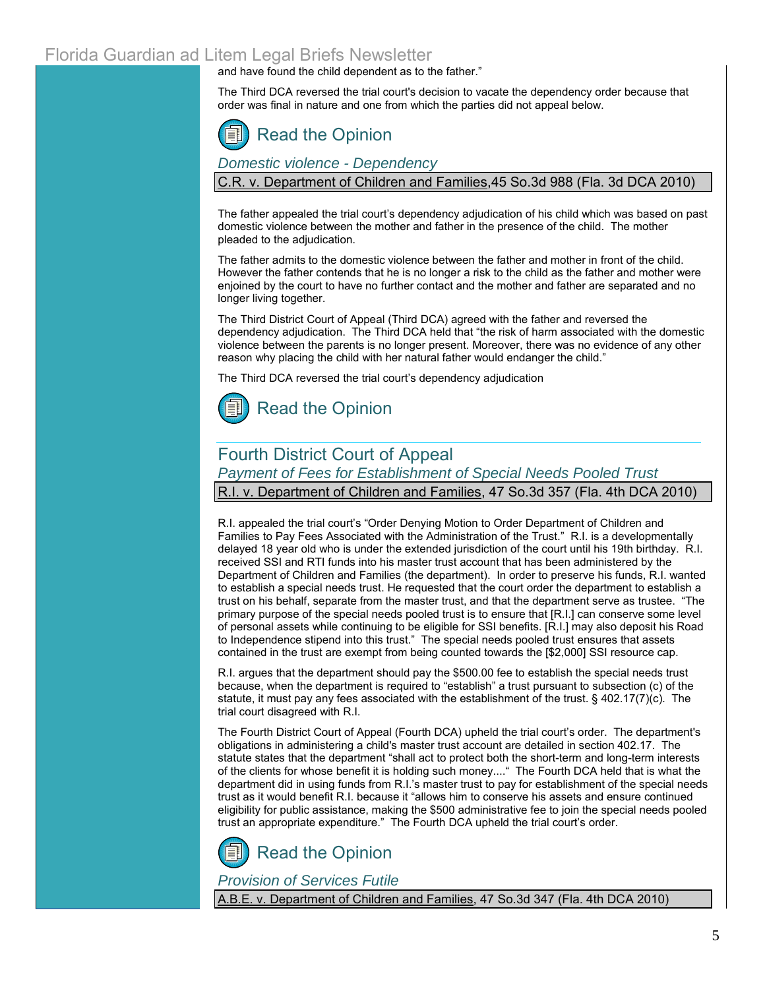and have found the child dependent as to the father."

The Third DCA reversed the trial court's decision to vacate the dependency order because that order was final in nature and one from which the parties did not appeal below.

# [Read the Opinion](http://www.3dca.flcourts.org/opinions/3D09-2928,%2009-2927%20and%2009-2833.pdf)

*Domestic violence - Dependency*

C.R. v. Department of Children and Families,45 So.3d 988 (Fla. 3d DCA 2010)

The father appealed the trial court's dependency adjudication of his child which was based on past domestic violence between the mother and father in the presence of the child. The mother pleaded to the adjudication.

The father admits to the domestic violence between the father and mother in front of the child. However the father contends that he is no longer a risk to the child as the father and mother were enjoined by the court to have no further contact and the mother and father are separated and no longer living together.

The Third District Court of Appeal (Third DCA) agreed with the father and reversed the dependency adjudication. The Third DCA held that "the risk of harm associated with the domestic violence between the parents is no longer present. Moreover, there was no evidence of any other reason why placing the child with her natural father would endanger the child."

The Third DCA reversed the trial court's dependency adjudication



# Fourth District Court of Appeal

*Payment of Fees for Establishment of Special Needs Pooled Trust*

R.I. v. Department of Children and Families, 47 So.3d 357 (Fla. 4th DCA 2010)

R.I. appealed the trial court's "Order Denying Motion to Order Department of Children and Families to Pay Fees Associated with the Administration of the Trust." R.I. is a developmentally delayed 18 year old who is under the extended jurisdiction of the court until his 19th birthday. R.I. received SSI and RTI funds into his master trust account that has been administered by the Department of Children and Families (the department). In order to preserve his funds, R.I. wanted to establish a special needs trust. He requested that the court order the department to establish a trust on his behalf, separate from the master trust, and that the department serve as trustee. "The primary purpose of the special needs pooled trust is to ensure that [R.I.] can conserve some level of personal assets while continuing to be eligible for SSI benefits. [R.I.] may also deposit his Road to Independence stipend into this trust." The special needs pooled trust ensures that assets contained in the trust are exempt from being counted towards the [\$2,000] SSI resource cap.

R.I. argues that the department should pay the \$500.00 fee to establish the special needs trust because, when the department is required to "establish" a trust pursuant to subsection (c) of the statute, it must pay any fees associated with the establishment of the trust. [§ 402.17\(7\)\(c\).](http://www.leg.state.fl.us/Statutes/index.cfm?App_mode=Display_Statute&Search_String=&URL=0400-0499/0402/Sections/0402.17.html) The trial court disagreed with R.I.

The Fourth District Court of Appeal (Fourth DCA) upheld the trial court's order. The department's obligations in administering a child's master trust account are detailed i[n section 402.17.](http://www.leg.state.fl.us/Statutes/index.cfm?App_mode=Display_Statute&Search_String=&URL=0400-0499/0402/Sections/0402.17.html) The statute states that the department "shall act to protect both the short-term and long-term interests of the clients for whose benefit it is holding such money...." The Fourth DCA held that is what the department did in using funds from R.I.'s master trust to pay for establishment of the special needs trust as it would benefit R.I. because it "allows him to conserve his assets and ensure continued eligibility for public assistance, making the \$500 administrative fee to join the special needs pooled trust an appropriate expenditure." The Fourth DCA upheld the trial court's order.



### *Provision of Services Futile*

A.B.E. v. Department of Children and Families, 47 So.3d 347 (Fla. 4th DCA 2010)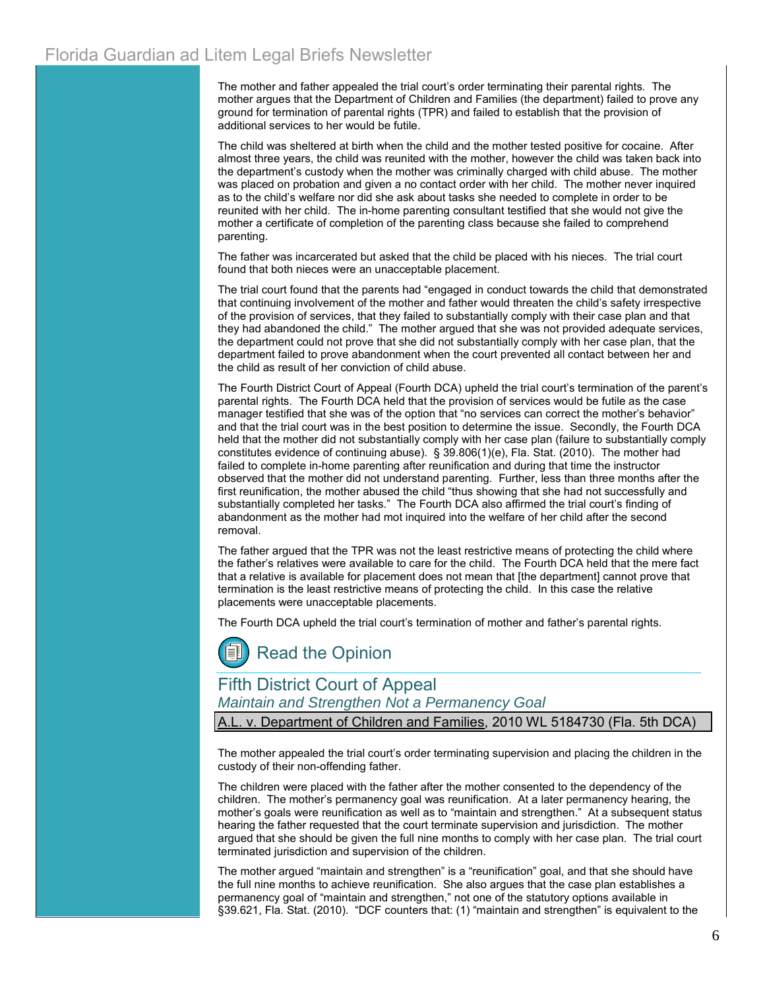The mother and father appealed the trial court's order terminating their parental rights. The mother argues that the Department of Children and Families (the department) failed to prove any ground for termination of parental rights (TPR) and failed to establish that the provision of additional services to her would be futile.

The child was sheltered at birth when the child and the mother tested positive for cocaine. After almost three years, the child was reunited with the mother, however the child was taken back into the department's custody when the mother was criminally charged with child abuse. The mother was placed on probation and given a no contact order with her child. The mother never inquired as to the child's welfare nor did she ask about tasks she needed to complete in order to be reunited with her child. The in-home parenting consultant testified that she would not give the mother a certificate of completion of the parenting class because she failed to comprehend parenting.

The father was incarcerated but asked that the child be placed with his nieces. The trial court found that both nieces were an unacceptable placement.

The trial court found that the parents had "engaged in conduct towards the child that demonstrated that continuing involvement of the mother and father would threaten the child's safety irrespective of the provision of services, that they failed to substantially comply with their case plan and that they had abandoned the child." The mother argued that she was not provided adequate services, the department could not prove that she did not substantially comply with her case plan, that the department failed to prove abandonment when the court prevented all contact between her and the child as result of her conviction of child abuse.

The Fourth District Court of Appeal (Fourth DCA) upheld the trial court's termination of the parent's parental rights. The Fourth DCA held that the provision of services would be futile as the case manager testified that she was of the option that "no services can correct the mother's behavior" and that the trial court was in the best position to determine the issue. Secondly, the Fourth DCA held that the mother did not substantially comply with her case plan (failure to substantially comply constitutes evidence of continuing abuse)[. § 39.806\(1\)\(e\), Fla. Stat. \(2010\). T](http://www.leg.state.fl.us/Statutes/index.cfm?App_mode=Display_Statute&Search_String=&URL=0000-0099/0039/Sections/0039.806.html)he mother had failed to complete in-home parenting after reunification and during that time the instructor observed that the mother did not understand parenting. Further, less than three months after the first reunification, the mother abused the child "thus showing that she had not successfully and substantially completed her tasks." The Fourth DCA also affirmed the trial court's finding of abandonment as the mother had mot inquired into the welfare of her child after the second removal.

The father argued that the TPR was not the least restrictive means of protecting the child where the father's relatives were available to care for the child. The Fourth DCA held that the mere fact that a relative is available for placement does not mean that [the department] cannot prove that termination is the least restrictive means of protecting the child. In this case the relative placements were unacceptable placements.

The Fourth DCA upheld the trial court's termination of mother and father's parental rights.



Fifth District Court of Appeal *Maintain and Strengthen Not a Permanency Goal* v. Department of Children and Families, 2010 WL 5184730 (Fla. 5th DCA)

The mother appealed the trial court's order terminating supervision and placing the children in the custody of their non-offending father.

The children were placed with the father after the mother consented to the dependency of the children. The mother's permanency goal was reunification. At a later permanency hearing, the mother's goals were reunification as well as to "maintain and strengthen." At a subsequent status hearing the father requested that the court terminate supervision and jurisdiction. The mother argued that she should be given the full nine months to comply with her case plan. The trial court terminated jurisdiction and supervision of the children.

The mother argued "maintain and strengthen" is a "reunification" goal, and that she should have the full nine months to achieve reunification. She also argues that the case plan establishes a permanency goal of "maintain and strengthen," not one of the statutory options available in [§39.621, Fla. Stat. \(2010\).](http://www.leg.state.fl.us/Statutes/index.cfm?App_mode=Display_Statute&Search_String=&URL=0000-0099/0039/Sections/0039.621.html) "DCF counters that: (1) "maintain and strengthen" is equivalent to the